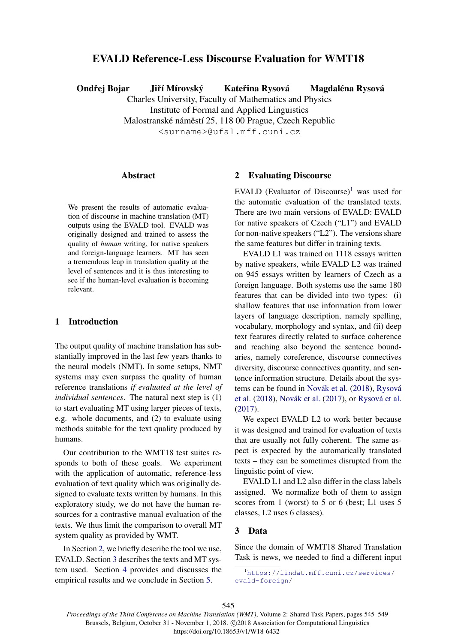# EVALD Reference-Less Discourse Evaluation for WMT18

Ondřej Bojar Jiří Mírovský Kateřina Rysová Magdaléna Rysová

Charles University, Faculty of Mathematics and Physics Institute of Formal and Applied Linguistics Malostranské náměstí 25, 118 00 Prague, Czech Republic

<surname>@ufal.mff.cuni.cz

# **Abstract**

We present the results of automatic evaluation of discourse in machine translation (MT) outputs using the EVALD tool. EVALD was originally designed and trained to assess the quality of *human* writing, for native speakers and foreign-language learners. MT has seen a tremendous leap in translation quality at the level of sentences and it is thus interesting to see if the human-level evaluation is becoming relevant.

# 1 Introduction

The output quality of machine translation has substantially improved in the last few years thanks to the neural models (NMT). In some setups, NMT systems may even surpass the quality of human reference translations *if evaluated at the level of individual sentences*. The natural next step is (1) to start evaluating MT using larger pieces of texts, e.g. whole documents, and (2) to evaluate using methods suitable for the text quality produced by humans.

Our contribution to the WMT18 test suites responds to both of these goals. We experiment with the application of automatic, reference-less evaluation of text quality which was originally designed to evaluate texts written by humans. In this exploratory study, we do not have the human resources for a contrastive manual evaluation of the texts. We thus limit the comparison to overall MT system quality as provided by WMT.

In Section 2, we briefly describe the tool we use, EVALD. Section 3 describes the texts and MT system used. Section 4 provides and discusses the empirical results and we conclude in Section 5.

### 2 Evaluating Discourse

EVALD (Evaluator of Discourse)<sup>1</sup> was used for the automatic evaluation of the translated texts. There are two main versions of EVALD: EVALD for native speakers of Czech ("L1") and EVALD for non-native speakers ("L2"). The versions share the same features but differ in training texts.

EVALD L1 was trained on 1118 essays written by native speakers, while EVALD L2 was trained on 945 essays written by learners of Czech as a foreign language. Both systems use the same 180 features that can be divided into two types: (i) shallow features that use information from lower layers of language description, namely spelling, vocabulary, morphology and syntax, and (ii) deep text features directly related to surface coherence and reaching also beyond the sentence boundaries, namely coreference, discourse connectives diversity, discourse connectives quantity, and sentence information structure. Details about the systems can be found in Novák et al. (2018), Rysová et al. (2018), Novák et al. (2017), or Rysová et al. (2017).

We expect EVALD L2 to work better because it was designed and trained for evaluation of texts that are usually not fully coherent. The same aspect is expected by the automatically translated texts – they can be sometimes disrupted from the linguistic point of view.

EVALD L1 and L2 also differ in the class labels assigned. We normalize both of them to assign scores from 1 (worst) to 5 or 6 (best; L1 uses 5 classes, L2 uses 6 classes).

# 3 Data

Since the domain of WMT18 Shared Translation Task is news, we needed to find a different input

*Proceedings of the Third Conference on Machine Translation (WMT)*, Volume 2: Shared Task Papers, pages 545–549 Brussels, Belgium, October 31 - November 1, 2018. C 2018 Association for Computational Linguistics https://doi.org/10.18653/v1/W18-6432

<sup>1</sup>https://lindat.mff.cuni.cz/services/ evald-foreign/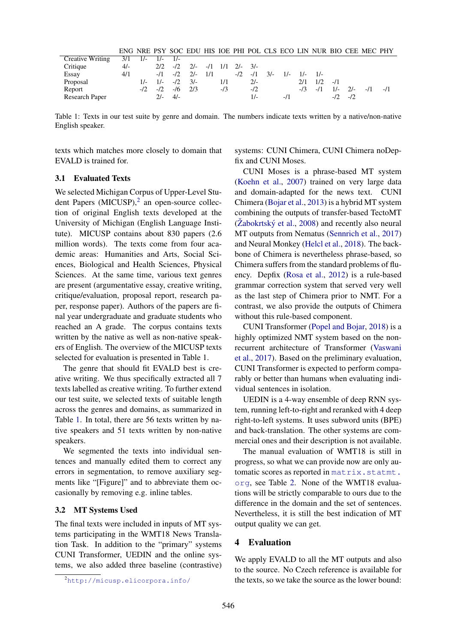|                                    |       |  |                                                       |     |       |  |                  | ENG NRE PSY SOC EDU HIS IOE PHI POL CLS ECO LIN NUR BIO CEE MEC PHY |  |
|------------------------------------|-------|--|-------------------------------------------------------|-----|-------|--|------------------|---------------------------------------------------------------------|--|
| Creative Writing $3/1$ 1/- 1/- 1/- |       |  |                                                       |     |       |  |                  |                                                                     |  |
| Critique                           | $4/-$ |  | $2/2$ $-1/2$ $21$ $-11$ $1/1$ $21$ $31$               |     |       |  |                  |                                                                     |  |
| Essay                              | 4/1   |  | $-11$ $-12$ $21$ $11$ $-12$ $-11$ $31$ $1$ $-11$ $11$ |     |       |  |                  |                                                                     |  |
| Proposal                           |       |  | $1/ 1/ -/2$ $3/-$                                     | 1/1 | $21-$ |  | $2/1$ $1/2$ $-1$ |                                                                     |  |

Table 1: Texts in our test suite by genre and domain. The numbers indicate texts written by a native/non-native English speaker.

Report -/2 -/2 -/6 2/3 -/3 -/2 -/3 -/1 1/- 2/- -/1 -/1

Research Paper 2/- 4/- 1/- 1/- 1/1 -/2 -/2

texts which matches more closely to domain that EVALD is trained for.

### 3.1 Evaluated Texts

We selected Michigan Corpus of Upper-Level Student Papers  $(MICUSP)$ ,<sup>2</sup> an open-source collection of original English texts developed at the University of Michigan (English Language Institute). MICUSP contains about 830 papers (2.6 million words). The texts come from four academic areas: Humanities and Arts, Social Sciences, Biological and Health Sciences, Physical Sciences. At the same time, various text genres are present (argumentative essay, creative writing, critique/evaluation, proposal report, research paper, response paper). Authors of the papers are final year undergraduate and graduate students who reached an A grade. The corpus contains texts written by the native as well as non-native speakers of English. The overview of the MICUSP texts selected for evaluation is presented in Table 1.

The genre that should fit EVALD best is creative writing. We thus specifically extracted all 7 texts labelled as creative writing. To further extend our test suite, we selected texts of suitable length across the genres and domains, as summarized in Table 1. In total, there are 56 texts written by native speakers and 51 texts written by non-native speakers.

We segmented the texts into individual sentences and manually edited them to correct any errors in segmentation, to remove auxiliary segments like "[Figure]" and to abbreviate them occasionally by removing e.g. inline tables.

### 3.2 MT Systems Used

The final texts were included in inputs of MT systems participating in the WMT18 News Translation Task. In addition to the "primary" systems CUNI Transformer, UEDIN and the online systems, we also added three baseline (contrastive) systems: CUNI Chimera, CUNI Chimera noDepfix and CUNI Moses.

CUNI Moses is a phrase-based MT system (Koehn et al., 2007) trained on very large data and domain-adapted for the news text. CUNI Chimera (Bojar et al., 2013) is a hybrid MT system combining the outputs of transfer-based TectoMT  $(Zabokrtský et al., 2008)$  and recently also neural MT outputs from Nematus (Sennrich et al., 2017) and Neural Monkey (Helcl et al., 2018). The backbone of Chimera is nevertheless phrase-based, so Chimera suffers from the standard problems of fluency. Depfix (Rosa et al., 2012) is a rule-based grammar correction system that served very well as the last step of Chimera prior to NMT. For a contrast, we also provide the outputs of Chimera without this rule-based component.

CUNI Transformer (Popel and Bojar, 2018) is a highly optimized NMT system based on the nonrecurrent architecture of Transformer (Vaswani et al., 2017). Based on the preliminary evaluation, CUNI Transformer is expected to perform comparably or better than humans when evaluating individual sentences in isolation.

UEDIN is a 4-way ensemble of deep RNN system, running left-to-right and reranked with 4 deep right-to-left systems. It uses subword units (BPE) and back-translation. The other systems are commercial ones and their description is not available.

The manual evaluation of WMT18 is still in progress, so what we can provide now are only automatic scores as reported in matrix.statmt. org, see Table 2. None of the WMT18 evaluations will be strictly comparable to ours due to the difference in the domain and the set of sentences. Nevertheless, it is still the best indication of MT output quality we can get.

### 4 Evaluation

We apply EVALD to all the MT outputs and also to the source. No Czech reference is available for the texts, so we take the source as the lower bound:

<sup>2</sup>http://micusp.elicorpora.info/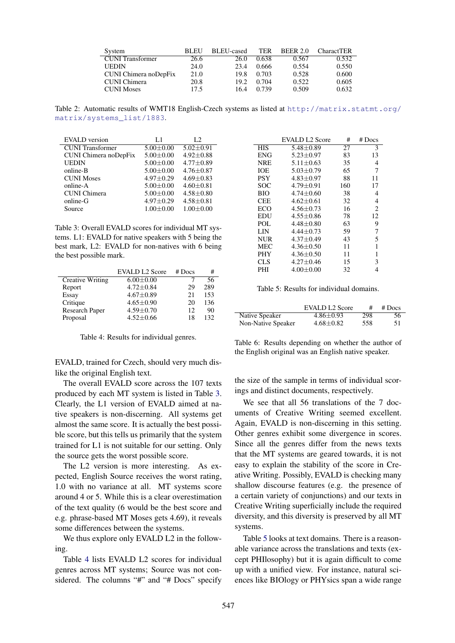| System                  | <b>BLEU</b> | <b>BLEU-cased</b> | TER   | <b>BEER 2.0</b> | <b>CharactTER</b> |
|-------------------------|-------------|-------------------|-------|-----------------|-------------------|
| <b>CUNI</b> Transformer | 26.6        | 26.0              | 0.638 | 0.567           | 0.532             |
| <b>UEDIN</b>            | 24.0        | 23.4              | 0.666 | 0.554           | 0.550             |
| CUNI Chimera noDepFix   | 21.0        | 19.8              | 0.703 | 0.528           | 0.600             |
| CUNI Chimera            | 20.8        | 19.2.             | 0.704 | 0.522           | 0.605             |
| <b>CUNI Moses</b>       | 17.5        | 16.4              | 0.739 | 0.509           | 0.632             |

Table 2: Automatic results of WMT18 English-Czech systems as listed at http://matrix.statmt.org/ matrix/systems\_list/1883.

| EVALD version           | L1              | L2              |
|-------------------------|-----------------|-----------------|
| <b>CUNI</b> Transformer | $5.00 \pm 0.00$ | $5.02 \pm 0.91$ |
| CUNI Chimera noDepFix   | $5.00 \pm 0.00$ | $4.92 \pm 0.88$ |
| UEDIN                   | $5.00 \pm 0.00$ | $4.77 \pm 0.89$ |
| online-B                | $5.00 + 0.00$   | $4.76 + 0.87$   |
| <b>CUNI Moses</b>       | $4.97 \pm 0.29$ | $4.69 \pm 0.83$ |
| online-A                | $5.00 \pm 0.00$ | $4.60 \pm 0.81$ |
| <b>CUNI</b> Chimera     | $5.00 \pm 0.00$ | $4.58 \pm 0.80$ |
| online-G                | $4.97 \pm 0.29$ | $4.58 \pm 0.81$ |
| Source                  | $1.00 + 0.00$   | $1.00 + 0.00$   |

Table 3: Overall EVALD scores for individual MT systems. L1: EVALD for native speakers with 5 being the best mark, L2: EVALD for non-natives with 6 being the best possible mark.

| <b>EVALD L2 Score</b> | # Does                                                                                                         | #   |
|-----------------------|----------------------------------------------------------------------------------------------------------------|-----|
|                       |                                                                                                                | 56  |
|                       | 29                                                                                                             | 289 |
|                       | 21                                                                                                             | 153 |
|                       | 20                                                                                                             | 136 |
|                       | 12                                                                                                             | 90  |
|                       | 18                                                                                                             | 132 |
|                       | $6.00 \pm 0.00$<br>$4.72 \pm 0.84$<br>$4.67 \pm 0.89$<br>$4.65 \pm 0.90$<br>$4.59 \pm 0.70$<br>$4.52 \pm 0.66$ |     |

Table 4: Results for individual genres.

EVALD, trained for Czech, should very much dislike the original English text.

The overall EVALD score across the 107 texts produced by each MT system is listed in Table 3. Clearly, the L1 version of EVALD aimed at native speakers is non-discerning. All systems get almost the same score. It is actually the best possible score, but this tells us primarily that the system trained for L1 is not suitable for our setting. Only the source gets the worst possible score.

The L2 version is more interesting. As expected, English Source receives the worst rating, 1.0 with no variance at all. MT systems score around 4 or 5. While this is a clear overestimation of the text quality (6 would be the best score and e.g. phrase-based MT Moses gets 4.69), it reveals some differences between the systems.

We thus explore only EVALD L2 in the following.

Table 4 lists EVALD L2 scores for individual genres across MT systems; Source was not considered. The columns "#" and "# Docs" specify

|            | EVALD L2 Score  | #   | $#$ Docs       |
|------------|-----------------|-----|----------------|
| HIS        | $5.48 \pm 0.89$ | 27  | 3              |
| ENG        | $5.23 \pm 0.97$ | 83  | 13             |
| NRE        | $5.11 \pm 0.63$ | 35  | 4              |
| IOE        | $5.03 + 0.79$   | 65  | 7              |
| <b>PSY</b> | $4.83 + 0.97$   | 88  | 11             |
| SOC        | $4.79 \pm 0.91$ | 160 | 17             |
| BЮ         | $4.74 \pm 0.60$ | 38  | 4              |
| CEE        | $4.62 \pm 0.61$ | 32  | 4              |
| ECO        | $4.56 + 0.73$   | 16  | $\overline{c}$ |
| EDU        | 4.55±0.86       | 78  | 12             |
| POL        | $4.48 + 0.80$   | 63  | 9              |
| LIN        | $4.44 + 0.73$   | 59  | 7              |
| NUR        | $4.37 \pm 0.49$ | 43  | 5              |
| MEC        | $4.36 \pm 0.50$ | 11  | 1              |
| PHY        | $4.36 \pm 0.50$ | 11  | 1              |
| CLS        | $4.27+0.46$     | 15  | 3              |
| PHI        | $4.00+0.00$     | 32  | 4              |
|            |                 |     |                |

Table 5: Results for individual domains.

|                    | <b>EVALD L2 Score</b> | #   | # Does |
|--------------------|-----------------------|-----|--------|
| Native Speaker     | $4.86 \pm 0.93$       | 298 | 56     |
| Non-Native Speaker | $4.68 \pm 0.82$       | 558 | 51     |

Table 6: Results depending on whether the author of the English original was an English native speaker.

the size of the sample in terms of individual scorings and distinct documents, respectively.

We see that all 56 translations of the 7 documents of Creative Writing seemed excellent. Again, EVALD is non-discerning in this setting. Other genres exhibit some divergence in scores. Since all the genres differ from the news texts that the MT systems are geared towards, it is not easy to explain the stability of the score in Creative Writing. Possibly, EVALD is checking many shallow discourse features (e.g. the presence of a certain variety of conjunctions) and our texts in Creative Writing superficially include the required diversity, and this diversity is preserved by all MT systems.

Table 5 looks at text domains. There is a reasonable variance across the translations and texts (except PHIlosophy) but it is again difficult to come up with a unified view. For instance, natural sciences like BIOlogy or PHYsics span a wide range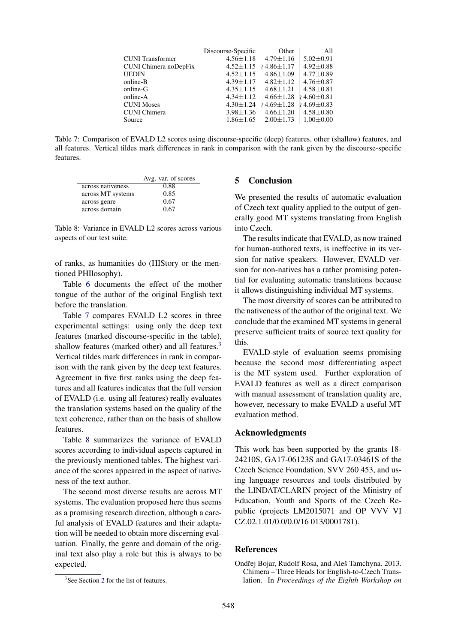|                         | Discourse-Specific | Other            | All                           |
|-------------------------|--------------------|------------------|-------------------------------|
| <b>CUNI</b> Transformer | $4.56 \pm 1.18$    | $4.79 + 1.16$    | $5.02 \pm 0.91$               |
| CUNI Chimera noDepFix   | $4.52 \pm 1.15$    | $14.86 \pm 1.17$ | $4.92 \pm 0.88$               |
| <b>UEDIN</b>            | $4.52 \pm 1.15$    | $4.86 \pm 1.09$  | $4.77 \pm 0.89$               |
| online-B                | $4.39 + 1.17$      | $4.82 + 1.12$    | $4.76 + 0.87$                 |
| online-G                | $4.35 \pm 1.15$    | $4.68 + 1.21$    | $4.58 \pm 0.81$               |
| online-A                | $4.34 + 1.12$      | $4.66 \pm 1.28$  | $\frac{1}{2}$ 4.60 $\pm$ 0.81 |
| <b>CUNI Moses</b>       | $4.30 \pm 1.24$    | $14.69 \pm 1.28$ | $(4.69 \pm 0.83)$             |
| <b>CUNI</b> Chimera     | $3.98 \pm 1.36$    | $4.66 \pm 1.20$  | $4.58 \pm 0.80$               |
| Source                  | $1.86 \pm 1.65$    | $2.00 \pm 1.73$  | $1.00 + 0.00$                 |
|                         |                    |                  |                               |

Table 7: Comparison of EVALD L2 scores using discourse-specific (deep) features, other (shallow) features, and all features. Vertical tildes mark differences in rank in comparison with the rank given by the discourse-specific features.

|                   | Avg. var. of scores |
|-------------------|---------------------|
| across nativeness | 0.88                |
| across MT systems | 0.85                |
| across genre      | 0.67                |
| across domain     | 0.67                |

Table 8: Variance in EVALD L2 scores across various aspects of our test suite.

of ranks, as humanities do (HIStory or the mentioned PHIlosophy).

Table 6 documents the effect of the mother tongue of the author of the original English text before the translation.

Table 7 compares EVALD L2 scores in three experimental settings: using only the deep text features (marked discourse-specific in the table), shallow features (marked other) and all features.<sup>3</sup> Vertical tildes mark differences in rank in comparison with the rank given by the deep text features. Agreement in five first ranks using the deep features and all features indicates that the full version of EVALD (i.e. using all features) really evaluates the translation systems based on the quality of the text coherence, rather than on the basis of shallow features.

Table 8 summarizes the variance of EVALD scores according to individual aspects captured in the previously mentioned tables. The highest variance of the scores appeared in the aspect of nativeness of the text author.

The second most diverse results are across MT systems. The evaluation proposed here thus seems as a promising research direction, although a careful analysis of EVALD features and their adaptation will be needed to obtain more discerning evaluation. Finally, the genre and domain of the original text also play a role but this is always to be expected.

### 5 Conclusion

We presented the results of automatic evaluation of Czech text quality applied to the output of generally good MT systems translating from English into Czech.

The results indicate that EVALD, as now trained for human-authored texts, is ineffective in its version for native speakers. However, EVALD version for non-natives has a rather promising potential for evaluating automatic translations because it allows distinguishing individual MT systems.

The most diversity of scores can be attributed to the nativeness of the author of the original text. We conclude that the examined MT systems in general preserve sufficient traits of source text quality for this.

EVALD-style of evaluation seems promising because the second most differentiating aspect is the MT system used. Further exploration of EVALD features as well as a direct comparison with manual assessment of translation quality are, however, necessary to make EVALD a useful MT evaluation method.

### Acknowledgments

This work has been supported by the grants 18- 24210S, GA17-06123S and GA17-03461S of the Czech Science Foundation, SVV 260 453, and using language resources and tools distributed by the LINDAT/CLARIN project of the Ministry of Education, Youth and Sports of the Czech Republic (projects LM2015071 and OP VVV VI CZ.02.1.01/0.0/0.0/16 013/0001781).

### References

Ondřej Bojar, Rudolf Rosa, and Aleš Tamchyna. 2013. Chimera – Three Heads for English-to-Czech Translation. In *Proceedings of the Eighth Workshop on*

<sup>&</sup>lt;sup>3</sup>See Section 2 for the list of features.